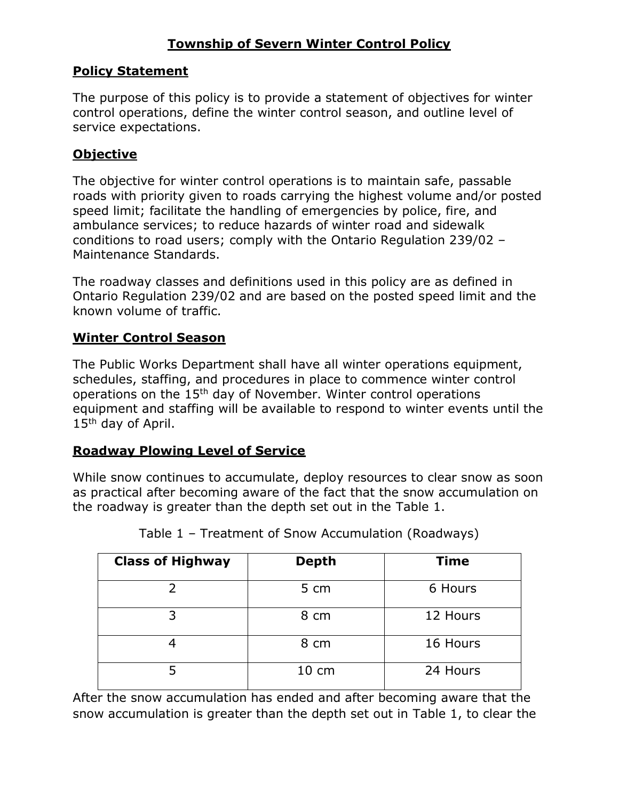# **Township of Severn Winter Control Policy**

### **Policy Statement**

The purpose of this policy is to provide a statement of objectives for winter control operations, define the winter control season, and outline level of service expectations.

## **Objective**

The objective for winter control operations is to maintain safe, passable roads with priority given to roads carrying the highest volume and/or posted speed limit; facilitate the handling of emergencies by police, fire, and ambulance services; to reduce hazards of winter road and sidewalk conditions to road users; comply with the Ontario Regulation 239/02 – Maintenance Standards.

The roadway classes and definitions used in this policy are as defined in Ontario Regulation 239/02 and are based on the posted speed limit and the known volume of traffic.

### **Winter Control Season**

The Public Works Department shall have all winter operations equipment, schedules, staffing, and procedures in place to commence winter control operations on the 15th day of November. Winter control operations equipment and staffing will be available to respond to winter events until the 15<sup>th</sup> day of April.

#### **Roadway Plowing Level of Service**

While snow continues to accumulate, deploy resources to clear snow as soon as practical after becoming aware of the fact that the snow accumulation on the roadway is greater than the depth set out in the Table 1.

| <b>Class of Highway</b> | <b>Depth</b>    | <b>Time</b> |  |
|-------------------------|-----------------|-------------|--|
|                         | 5 cm            | 6 Hours     |  |
|                         | 8 cm            | 12 Hours    |  |
|                         | 8 cm            | 16 Hours    |  |
|                         | $10 \text{ cm}$ | 24 Hours    |  |

Table 1 – Treatment of Snow Accumulation (Roadways)

After the snow accumulation has ended and after becoming aware that the snow accumulation is greater than the depth set out in Table 1, to clear the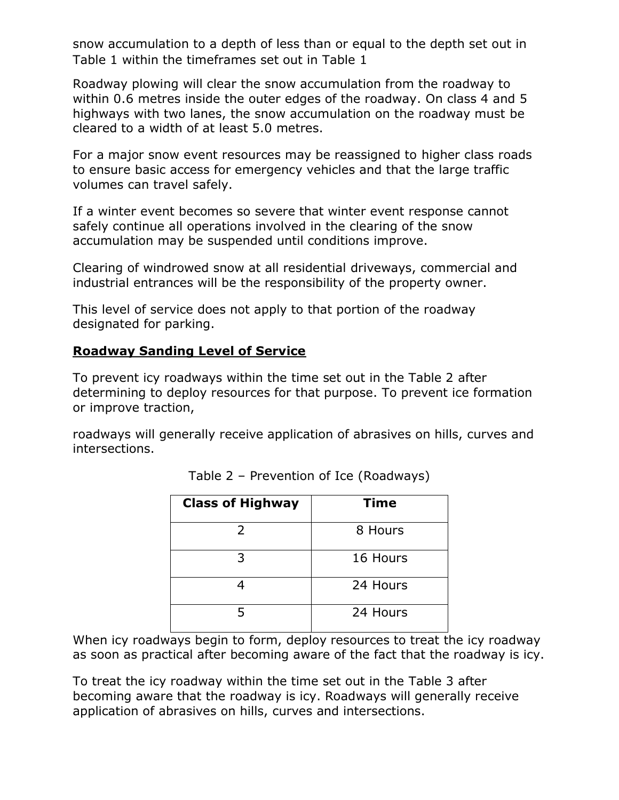snow accumulation to a depth of less than or equal to the depth set out in Table 1 within the timeframes set out in Table 1

Roadway plowing will clear the snow accumulation from the roadway to within 0.6 metres inside the outer edges of the roadway. On class 4 and 5 highways with two lanes, the snow accumulation on the roadway must be cleared to a width of at least 5.0 metres.

For a major snow event resources may be reassigned to higher class roads to ensure basic access for emergency vehicles and that the large traffic volumes can travel safely.

If a winter event becomes so severe that winter event response cannot safely continue all operations involved in the clearing of the snow accumulation may be suspended until conditions improve.

Clearing of windrowed snow at all residential driveways, commercial and industrial entrances will be the responsibility of the property owner.

This level of service does not apply to that portion of the roadway designated for parking.

### **Roadway Sanding Level of Service**

To prevent icy roadways within the time set out in the Table 2 after determining to deploy resources for that purpose. To prevent ice formation or improve traction,

roadways will generally receive application of abrasives on hills, curves and intersections.

| <b>Class of Highway</b> | <b>Time</b> |  |  |
|-------------------------|-------------|--|--|
| $\overline{2}$          | 8 Hours     |  |  |
| 3                       | 16 Hours    |  |  |
|                         | 24 Hours    |  |  |
| 5                       | 24 Hours    |  |  |

Table 2 – Prevention of Ice (Roadways)

When icy roadways begin to form, deploy resources to treat the icy roadway as soon as practical after becoming aware of the fact that the roadway is icy.

To treat the icy roadway within the time set out in the Table 3 after becoming aware that the roadway is icy. Roadways will generally receive application of abrasives on hills, curves and intersections.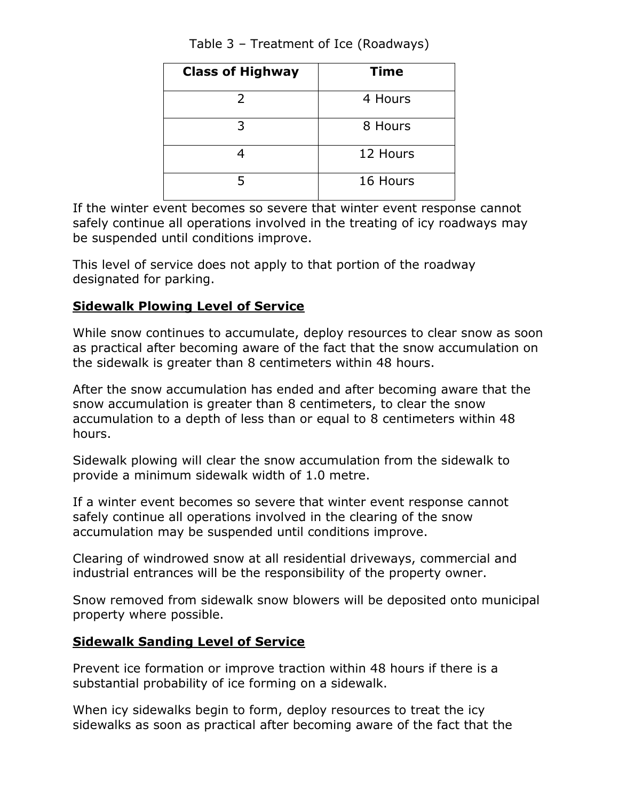| <b>Class of Highway</b> | <b>Time</b> |  |
|-------------------------|-------------|--|
| 2                       | 4 Hours     |  |
| 3                       | 8 Hours     |  |
|                         | 12 Hours    |  |
| 5                       | 16 Hours    |  |

Table 3 – Treatment of Ice (Roadways)

If the winter event becomes so severe that winter event response cannot safely continue all operations involved in the treating of icy roadways may be suspended until conditions improve.

This level of service does not apply to that portion of the roadway designated for parking.

### **Sidewalk Plowing Level of Service**

While snow continues to accumulate, deploy resources to clear snow as soon as practical after becoming aware of the fact that the snow accumulation on the sidewalk is greater than 8 centimeters within 48 hours.

After the snow accumulation has ended and after becoming aware that the snow accumulation is greater than 8 centimeters, to clear the snow accumulation to a depth of less than or equal to 8 centimeters within 48 hours.

Sidewalk plowing will clear the snow accumulation from the sidewalk to provide a minimum sidewalk width of 1.0 metre.

If a winter event becomes so severe that winter event response cannot safely continue all operations involved in the clearing of the snow accumulation may be suspended until conditions improve.

Clearing of windrowed snow at all residential driveways, commercial and industrial entrances will be the responsibility of the property owner.

Snow removed from sidewalk snow blowers will be deposited onto municipal property where possible.

### **Sidewalk Sanding Level of Service**

Prevent ice formation or improve traction within 48 hours if there is a substantial probability of ice forming on a sidewalk.

When icy sidewalks begin to form, deploy resources to treat the icy sidewalks as soon as practical after becoming aware of the fact that the